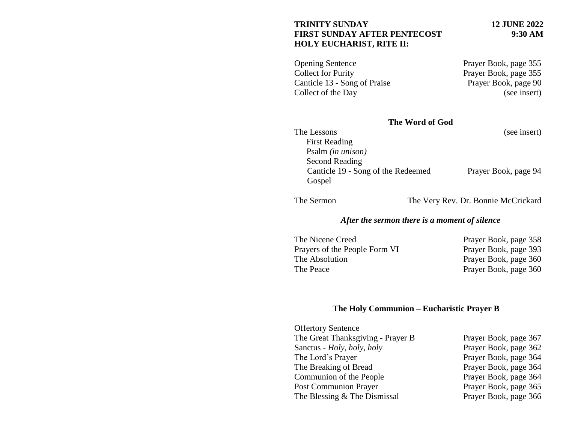### **TRINITY SUNDAY 12 JUNE 2022 FIRST SUNDAY AFTER PENTECOST 9:30 AM HOLY EUCHARIST, RITE II:**

Opening Sentence Prayer Book, page 355 Collect for Purity Prayer Book, page 355 Canticle 13 - Song of Praise Prayer Book, page 90 Collect of the Day (see insert)

## **The Word of God**

| The Lessons                        | (see insert)         |
|------------------------------------|----------------------|
| <b>First Reading</b>               |                      |
| Psalm (in unison)                  |                      |
| Second Reading                     |                      |
| Canticle 19 - Song of the Redeemed | Prayer Book, page 94 |
| Gospel                             |                      |

The Sermon The Very Rev. Dr. Bonnie McCrickard

# *After the sermon there is a moment of silence*

| The Nicene Creed              | Prayer Book, page 358 |
|-------------------------------|-----------------------|
| Prayers of the People Form VI | Prayer Book, page 393 |
| The Absolution                | Prayer Book, page 360 |
| The Peace                     | Prayer Book, page 360 |

# **The Holy Communion – Eucharistic Prayer B**

| <b>Offertory Sentence</b>         |                       |
|-----------------------------------|-----------------------|
| The Great Thanksgiving - Prayer B | Prayer Book, page 367 |
| Sanctus - Holy, holy, holy        | Prayer Book, page 362 |
| The Lord's Prayer                 | Prayer Book, page 364 |
| The Breaking of Bread             | Prayer Book, page 364 |
| Communion of the People           | Prayer Book, page 364 |
| <b>Post Communion Prayer</b>      | Prayer Book, page 365 |
| The Blessing & The Dismissal      | Prayer Book, page 366 |
|                                   |                       |